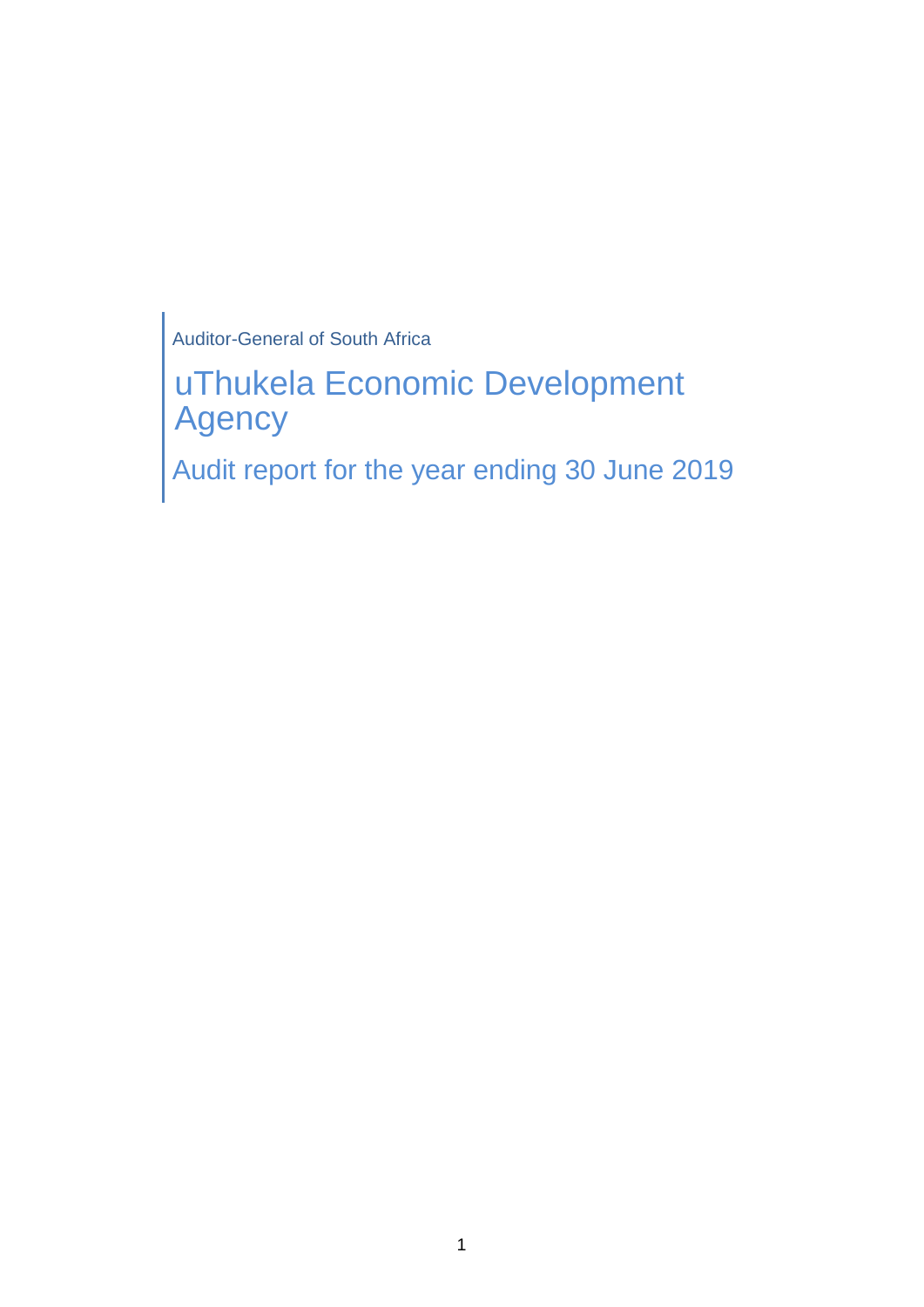Auditor-General of South Africa

uThukela Economic Development Agency

Audit report for the year ending 30 June 2019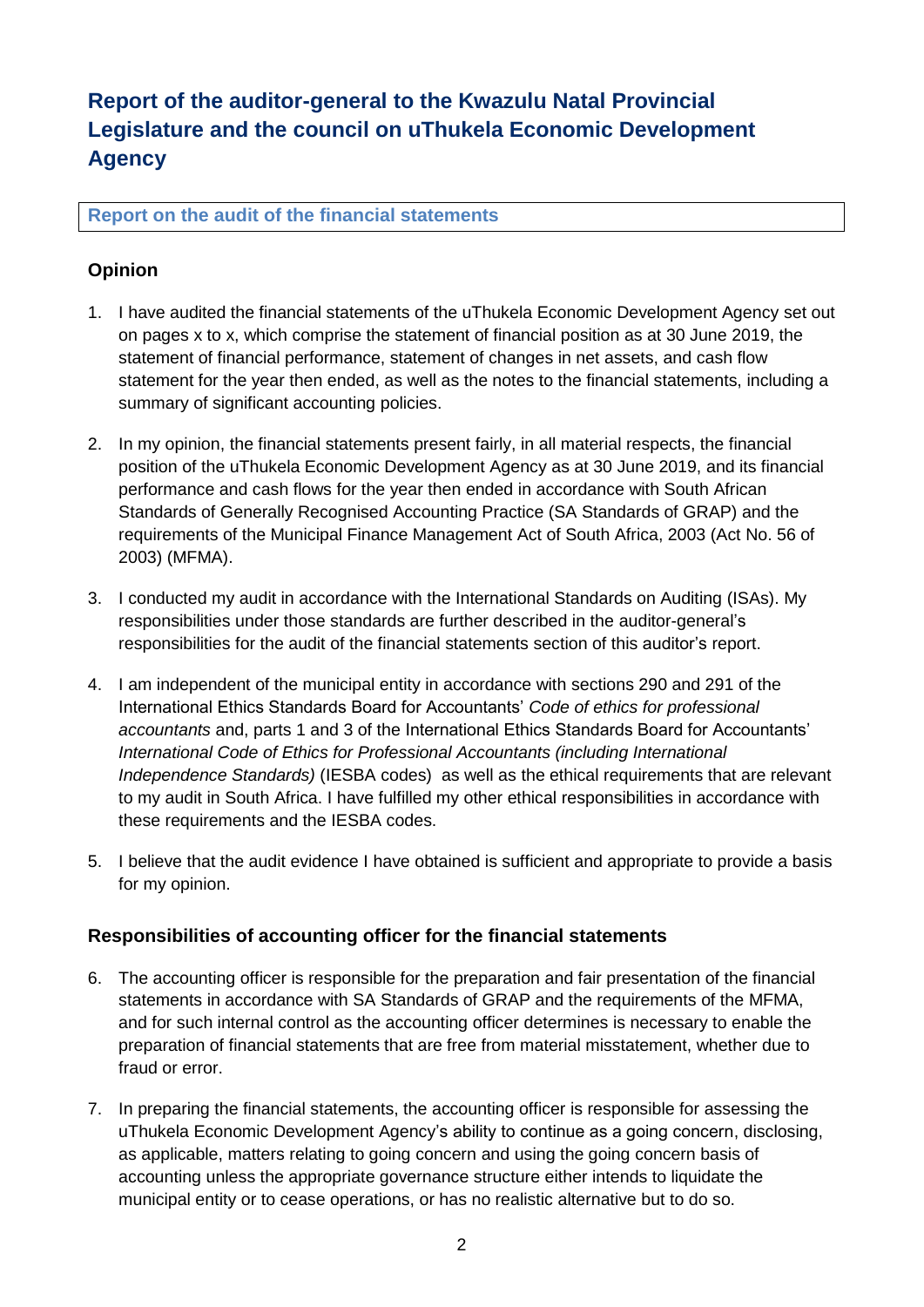# **Report of the auditor-general to the Kwazulu Natal Provincial Legislature and the council on uThukela Economic Development Agency**

## **Report on the audit of the financial statements**

# **Opinion**

- 1. I have audited the financial statements of the uThukela Economic Development Agency set out on pages x to x, which comprise the statement of financial position as at 30 June 2019, the statement of financial performance, statement of changes in net assets, and cash flow statement for the year then ended, as well as the notes to the financial statements, including a summary of significant accounting policies.
- 2. In my opinion, the financial statements present fairly, in all material respects, the financial position of the uThukela Economic Development Agency as at 30 June 2019, and its financial performance and cash flows for the year then ended in accordance with South African Standards of Generally Recognised Accounting Practice (SA Standards of GRAP) and the requirements of the Municipal Finance Management Act of South Africa, 2003 (Act No. 56 of 2003) (MFMA).
- 3. I conducted my audit in accordance with the International Standards on Auditing (ISAs). My responsibilities under those standards are further described in the auditor-general's responsibilities for the audit of the financial statements section of this auditor's report.
- 4. I am independent of the municipal entity in accordance with sections 290 and 291 of the International Ethics Standards Board for Accountants' *Code of ethics for professional accountants* and, parts 1 and 3 of the International Ethics Standards Board for Accountants' *International Code of Ethics for Professional Accountants (including International Independence Standards)* (IESBA codes) as well as the ethical requirements that are relevant to my audit in South Africa. I have fulfilled my other ethical responsibilities in accordance with these requirements and the IESBA codes.
- 5. I believe that the audit evidence I have obtained is sufficient and appropriate to provide a basis for my opinion.

## **Responsibilities of accounting officer for the financial statements**

- 6. The accounting officer is responsible for the preparation and fair presentation of the financial statements in accordance with SA Standards of GRAP and the requirements of the MFMA, and for such internal control as the accounting officer determines is necessary to enable the preparation of financial statements that are free from material misstatement, whether due to fraud or error.
- 7. In preparing the financial statements, the accounting officer is responsible for assessing the uThukela Economic Development Agency's ability to continue as a going concern, disclosing, as applicable, matters relating to going concern and using the going concern basis of accounting unless the appropriate governance structure either intends to liquidate the municipal entity or to cease operations, or has no realistic alternative but to do so.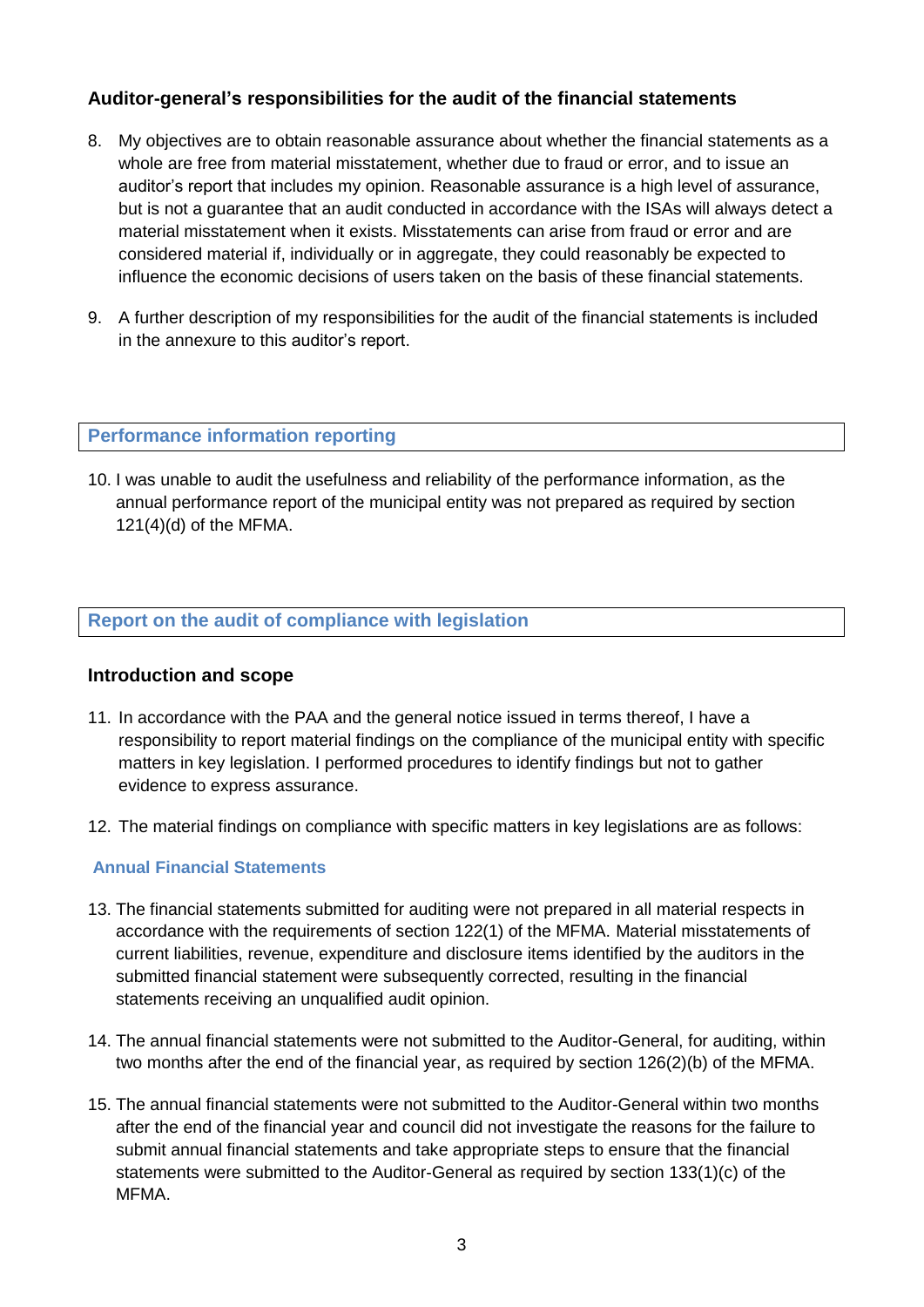## **Auditor-general's responsibilities for the audit of the financial statements**

- 8. My objectives are to obtain reasonable assurance about whether the financial statements as a whole are free from material misstatement, whether due to fraud or error, and to issue an auditor's report that includes my opinion. Reasonable assurance is a high level of assurance, but is not a guarantee that an audit conducted in accordance with the ISAs will always detect a material misstatement when it exists. Misstatements can arise from fraud or error and are considered material if, individually or in aggregate, they could reasonably be expected to influence the economic decisions of users taken on the basis of these financial statements.
- 9. A further description of my responsibilities for the audit of the financial statements is included in the annexure to this auditor's report.

#### **Performance information reporting**

10. I was unable to audit the usefulness and reliability of the performance information, as the annual performance report of the municipal entity was not prepared as required by section 121(4)(d) of the MFMA.

## **Report on the audit of compliance with legislation**

#### **Introduction and scope**

- 11. In accordance with the PAA and the general notice issued in terms thereof, I have a responsibility to report material findings on the compliance of the municipal entity with specific matters in key legislation. I performed procedures to identify findings but not to gather evidence to express assurance.
- 12. The material findings on compliance with specific matters in key legislations are as follows:

### **Annual Financial Statements**

- 13. The financial statements submitted for auditing were not prepared in all material respects in accordance with the requirements of section 122(1) of the MFMA. Material misstatements of current liabilities, revenue, expenditure and disclosure items identified by the auditors in the submitted financial statement were subsequently corrected, resulting in the financial statements receiving an unqualified audit opinion.
- 14. The annual financial statements were not submitted to the Auditor-General, for auditing, within two months after the end of the financial year, as required by section 126(2)(b) of the MFMA.
- 15. The annual financial statements were not submitted to the Auditor-General within two months after the end of the financial year and council did not investigate the reasons for the failure to submit annual financial statements and take appropriate steps to ensure that the financial statements were submitted to the Auditor-General as required by section 133(1)(c) of the MFMA.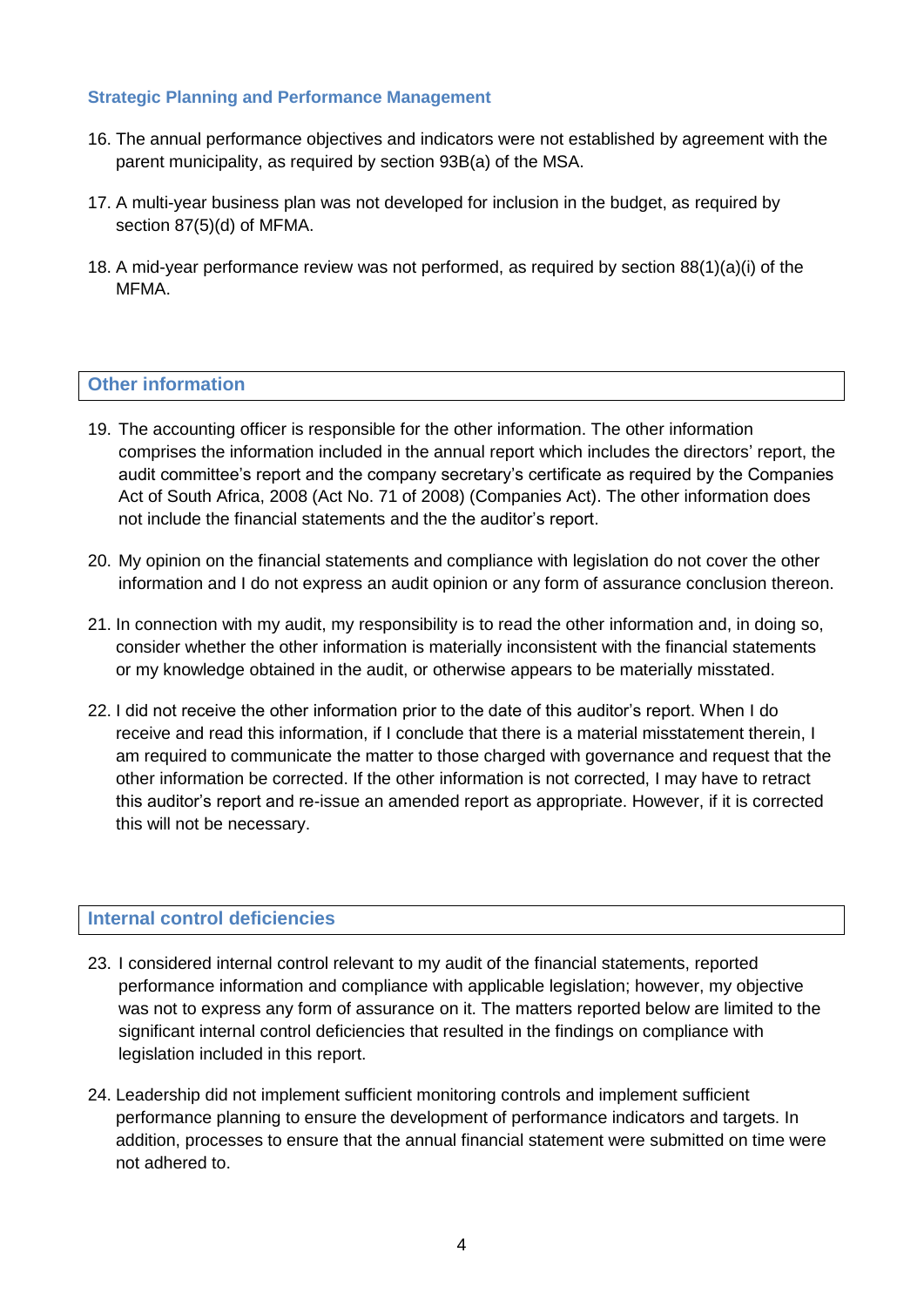#### **Strategic Planning and Performance Management**

- 16. The annual performance objectives and indicators were not established by agreement with the parent municipality, as required by section 93B(a) of the MSA.
- 17. A multi-year business plan was not developed for inclusion in the budget, as required by section 87(5)(d) of MFMA.
- 18. A mid-year performance review was not performed, as required by section 88(1)(a)(i) of the MFMA.

### **Other information**

- 19. The accounting officer is responsible for the other information. The other information comprises the information included in the annual report which includes the directors' report, the audit committee's report and the company secretary's certificate as required by the Companies Act of South Africa, 2008 (Act No. 71 of 2008) (Companies Act). The other information does not include the financial statements and the the auditor's report.
- 20. My opinion on the financial statements and compliance with legislation do not cover the other information and I do not express an audit opinion or any form of assurance conclusion thereon.
- 21. In connection with my audit, my responsibility is to read the other information and, in doing so, consider whether the other information is materially inconsistent with the financial statements or my knowledge obtained in the audit, or otherwise appears to be materially misstated.
- 22. I did not receive the other information prior to the date of this auditor's report. When I do receive and read this information, if I conclude that there is a material misstatement therein, I am required to communicate the matter to those charged with governance and request that the other information be corrected. If the other information is not corrected, I may have to retract this auditor's report and re-issue an amended report as appropriate. However, if it is corrected this will not be necessary.

### **Internal control deficiencies**

- 23. I considered internal control relevant to my audit of the financial statements, reported performance information and compliance with applicable legislation; however, my objective was not to express any form of assurance on it. The matters reported below are limited to the significant internal control deficiencies that resulted in the findings on compliance with legislation included in this report.
- 24. Leadership did not implement sufficient monitoring controls and implement sufficient performance planning to ensure the development of performance indicators and targets. In addition, processes to ensure that the annual financial statement were submitted on time were not adhered to.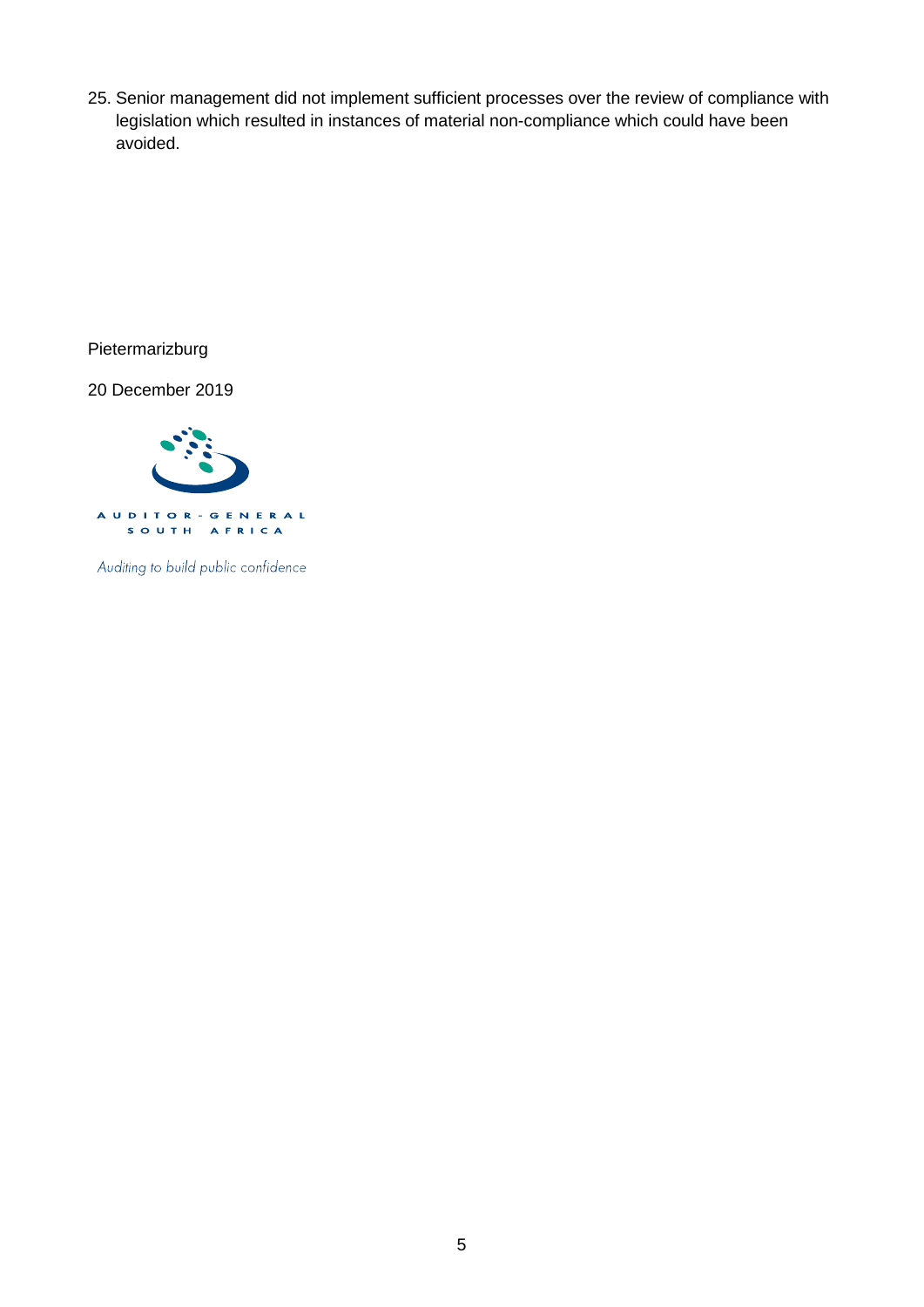25. Senior management did not implement sufficient processes over the review of compliance with legislation which resulted in instances of material non-compliance which could have been avoided.

Pietermarizburg

20 December 2019



Auditing to build public confidence